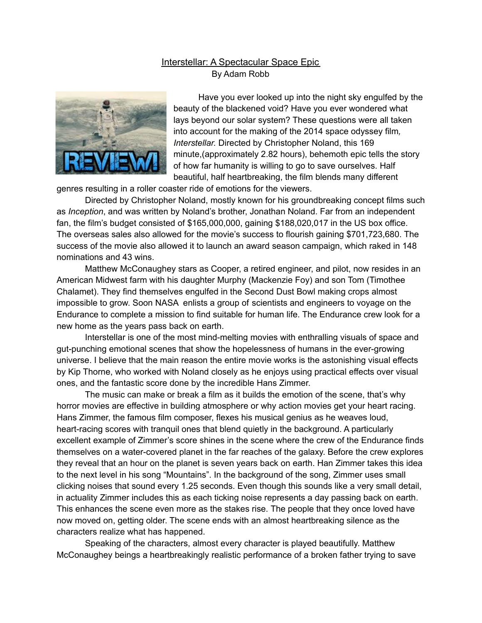## Interstellar: A Spectacular Space Epic By Adam Robb



Have you ever looked up into the night sky engulfed by the beauty of the blackened void? Have you ever wondered what lays beyond our solar system? These questions were all taken into account for the making of the 2014 space odyssey film*, Interstellar.* Directed by Christopher Noland, this 169 minute,(approximately 2.82 hours), behemoth epic tells the story of how far humanity is willing to go to save ourselves. Half beautiful, half heartbreaking, the film blends many different

genres resulting in a roller coaster ride of emotions for the viewers.

Directed by Christopher Noland, mostly known for his groundbreaking concept films such as *Inception*, and was written by Noland's brother, Jonathan Noland. Far from an independent fan, the film's budget consisted of \$165,000,000, gaining \$188,020,017 in the US box office. The overseas sales also allowed for the movie's success to flourish gaining \$701,723,680. The success of the movie also allowed it to launch an award season campaign, which raked in 148 nominations and 43 wins.

Matthew McConaughey stars as Cooper, a retired engineer, and pilot, now resides in an American Midwest farm with his daughter Murphy (Mackenzie Foy) and son Tom (Timothee Chalamet). They find themselves engulfed in the Second Dust Bowl making crops almost impossible to grow. Soon NASA enlists a group of scientists and engineers to voyage on the Endurance to complete a mission to find suitable for human life. The Endurance crew look for a new home as the years pass back on earth.

Interstellar is one of the most mind-melting movies with enthralling visuals of space and gut-punching emotional scenes that show the hopelessness of humans in the ever-growing universe. I believe that the main reason the entire movie works is the astonishing visual effects by Kip Thorne, who worked with Noland closely as he enjoys using practical effects over visual ones, and the fantastic score done by the incredible Hans Zimmer.

The music can make or break a film as it builds the emotion of the scene, that's why horror movies are effective in building atmosphere or why action movies get your heart racing. Hans Zimmer, the famous film composer, flexes his musical genius as he weaves loud, heart-racing scores with tranquil ones that blend quietly in the background. A particularly excellent example of Zimmer's score shines in the scene where the crew of the Endurance finds themselves on a water-covered planet in the far reaches of the galaxy. Before the crew explores they reveal that an hour on the planet is seven years back on earth. Han Zimmer takes this idea to the next level in his song "Mountains". In the background of the song, Zimmer uses small clicking noises that sound every 1.25 seconds. Even though this sounds like a very small detail, in actuality Zimmer includes this as each ticking noise represents a day passing back on earth. This enhances the scene even more as the stakes rise. The people that they once loved have now moved on, getting older. The scene ends with an almost heartbreaking silence as the characters realize what has happened.

Speaking of the characters, almost every character is played beautifully. Matthew McConaughey beings a heartbreakingly realistic performance of a broken father trying to save